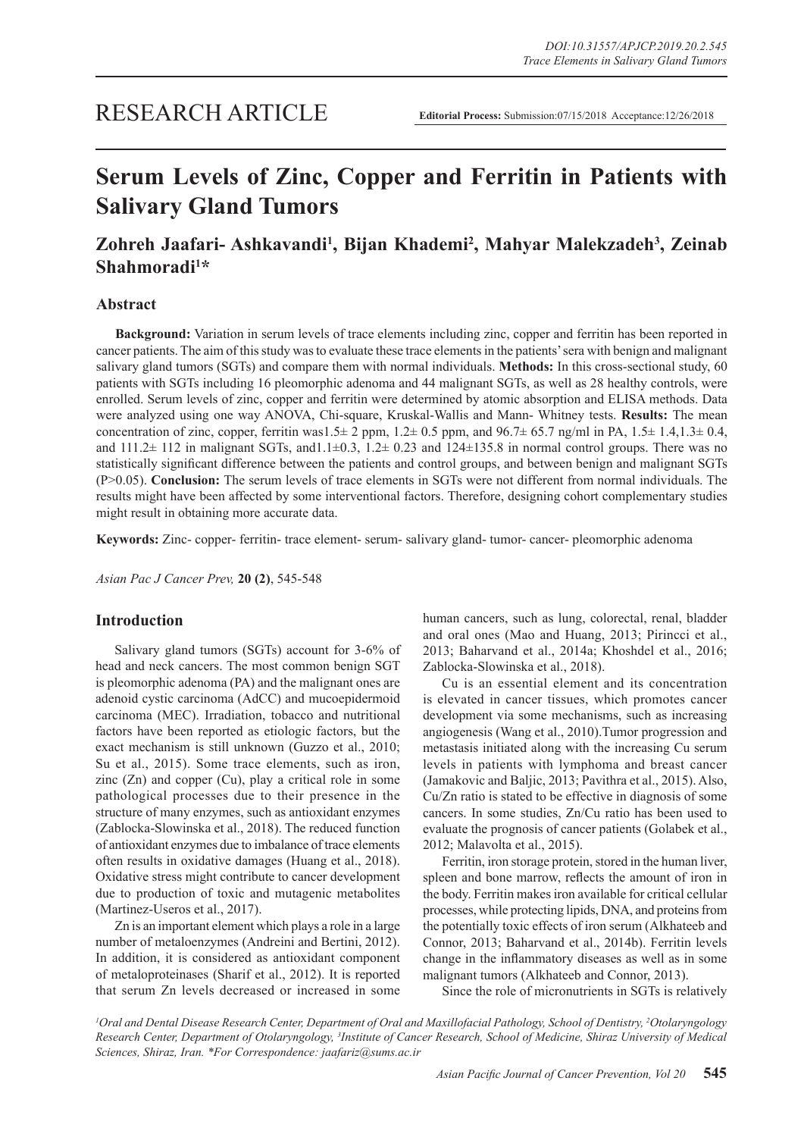# **Serum Levels of Zinc, Copper and Ferritin in Patients with Salivary Gland Tumors**

# Zohreh Jaafari- Ashkavandi<sup>1</sup>, Bijan Khademi<sup>2</sup>, Mahyar Malekzadeh<sup>3</sup>, Zeinab **Shahmoradi1 \***

# **Abstract**

**Background:** Variation in serum levels of trace elements including zinc, copper and ferritin has been reported in cancer patients. The aim of this study was to evaluate these trace elements in the patients' sera with benign and malignant salivary gland tumors (SGTs) and compare them with normal individuals. **Methods:** In this cross-sectional study, 60 patients with SGTs including 16 pleomorphic adenoma and 44 malignant SGTs, as well as 28 healthy controls, were enrolled. Serum levels of zinc, copper and ferritin were determined by atomic absorption and ELISA methods. Data were analyzed using one way ANOVA, Chi-square, Kruskal-Wallis and Mann- Whitney tests. **Results:** The mean concentration of zinc, copper, ferritin was1.5 $\pm$  2 ppm, 1.2 $\pm$  0.5 ppm, and 96.7 $\pm$  65.7 ng/ml in PA, 1.5 $\pm$  1.4,1.3 $\pm$  0.4, and  $111.2\pm 112$  in malignant SGTs, and  $1.1\pm 0.3$ ,  $1.2\pm 0.23$  and  $124\pm 135.8$  in normal control groups. There was no statistically significant difference between the patients and control groups, and between benign and malignant SGTs (P>0.05). **Conclusion:** The serum levels of trace elements in SGTs were not different from normal individuals. The results might have been affected by some interventional factors. Therefore, designing cohort complementary studies might result in obtaining more accurate data.

**Keywords:** Zinc- copper- ferritin- trace element- serum- salivary gland- tumor- cancer- pleomorphic adenoma

*Asian Pac J Cancer Prev,* **20 (2)**, 545-548

# **Introduction**

Salivary gland tumors (SGTs) account for 3-6% of head and neck cancers. The most common benign SGT is pleomorphic adenoma (PA) and the malignant ones are adenoid cystic carcinoma (AdCC) and mucoepidermoid carcinoma (MEC). Irradiation, tobacco and nutritional factors have been reported as etiologic factors, but the exact mechanism is still unknown (Guzzo et al., 2010; Su et al., 2015). Some trace elements, such as iron, zinc  $(Zn)$  and copper  $(Cu)$ , play a critical role in some pathological processes due to their presence in the structure of many enzymes, such as antioxidant enzymes (Zablocka-Slowinska et al., 2018). The reduced function of antioxidant enzymes due to imbalance of trace elements often results in oxidative damages (Huang et al., 2018). Oxidative stress might contribute to cancer development due to production of toxic and mutagenic metabolites (Martinez-Useros et al., 2017).

Zn is an important element which plays a role in a large number of metaloenzymes (Andreini and Bertini, 2012). In addition, it is considered as antioxidant component of metaloproteinases (Sharif et al., 2012). It is reported that serum Zn levels decreased or increased in some human cancers, such as lung, colorectal, renal, bladder and oral ones (Mao and Huang, 2013; Pirincci et al., 2013; Baharvand et al., 2014a; Khoshdel et al., 2016; Zablocka-Slowinska et al., 2018).

Cu is an essential element and its concentration is elevated in cancer tissues, which promotes cancer development via some mechanisms, such as increasing angiogenesis (Wang et al., 2010).Tumor progression and metastasis initiated along with the increasing Cu serum levels in patients with lymphoma and breast cancer (Jamakovic and Baljic, 2013; Pavithra et al., 2015). Also, Cu/Zn ratio is stated to be effective in diagnosis of some cancers. In some studies, Zn/Cu ratio has been used to evaluate the prognosis of cancer patients (Golabek et al., 2012; Malavolta et al., 2015).

Ferritin, iron storage protein, stored in the human liver, spleen and bone marrow, reflects the amount of iron in the body. Ferritin makes iron available for critical cellular processes, while protecting lipids, DNA, and proteins from the potentially toxic effects of iron serum (Alkhateeb and Connor, 2013; Baharvand et al., 2014b). Ferritin levels change in the inflammatory diseases as well as in some malignant tumors (Alkhateeb and Connor, 2013).

Since the role of micronutrients in SGTs is relatively

*1 Oral and Dental Disease Research Center, Department of Oral and Maxillofacial Pathology, School of Dentistry, 2 Otolaryngology*  Research Center, Department of Otolaryngology, <sup>3</sup>Institute of Cancer Research, School of Medicine, Shiraz University of Medical *Sciences, Shiraz, Iran. \*For Correspondence: jaafariz@sums.ac.ir*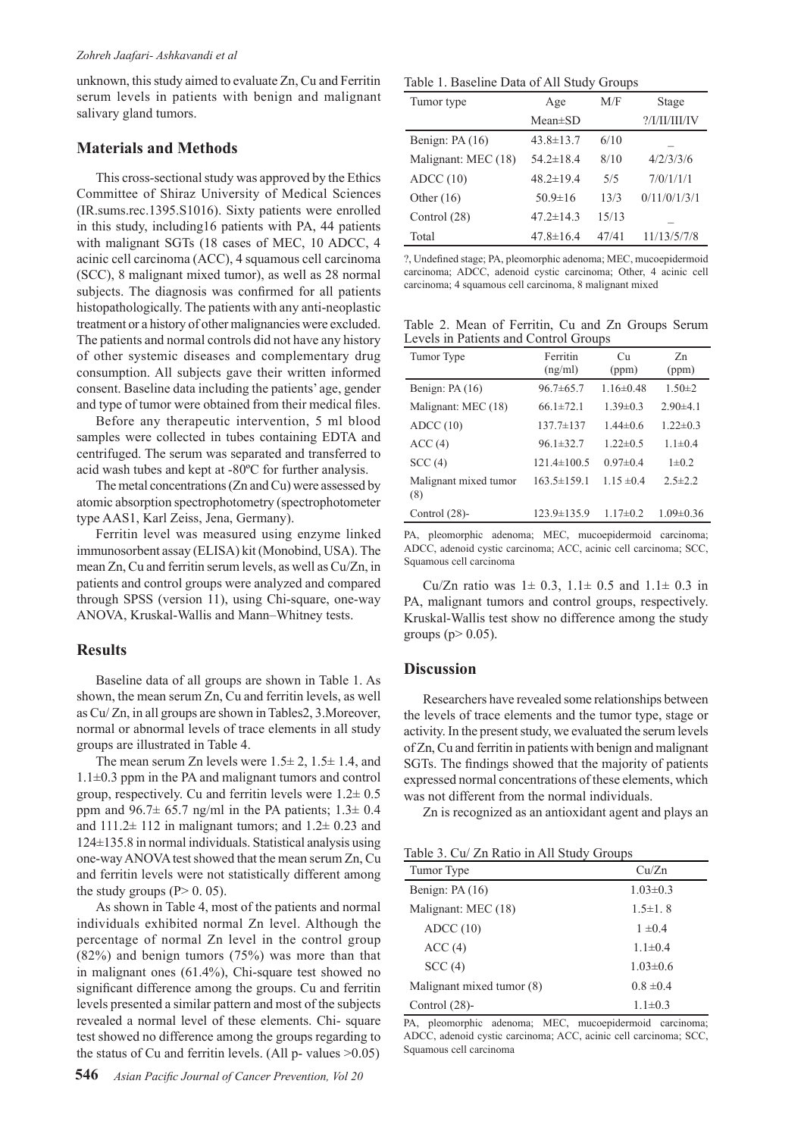unknown, this study aimed to evaluate Zn, Cu and Ferritin serum levels in patients with benign and malignant salivary gland tumors.

# **Materials and Methods**

This cross-sectional study was approved by the Ethics Committee of Shiraz University of Medical Sciences (IR.sums.rec.1395.S1016). Sixty patients were enrolled in this study, including16 patients with PA, 44 patients with malignant SGTs (18 cases of MEC, 10 ADCC, 4 acinic cell carcinoma (ACC), 4 squamous cell carcinoma (SCC), 8 malignant mixed tumor), as well as 28 normal subjects. The diagnosis was confirmed for all patients histopathologically. The patients with any anti-neoplastic treatment or a history of other malignancies were excluded. The patients and normal controls did not have any history of other systemic diseases and complementary drug consumption. All subjects gave their written informed consent. Baseline data including the patients' age, gender and type of tumor were obtained from their medical files.

Before any therapeutic intervention, 5 ml blood samples were collected in tubes containing EDTA and centrifuged. The serum was separated and transferred to acid wash tubes and kept at -80ºC for further analysis.

The metal concentrations (Zn and Cu) were assessed by atomic absorption spectrophotometry (spectrophotometer type AAS1, Karl Zeiss, Jena, Germany).

Ferritin level was measured using enzyme linked immunosorbent assay (ELISA) kit (Monobind, USA). The mean Zn, Cu and ferritin serum levels, as well as Cu/Zn, in patients and control groups were analyzed and compared through SPSS (version 11), using Chi-square, one-way ANOVA, Kruskal-Wallis and Mann–Whitney tests.

# **Results**

Baseline data of all groups are shown in Table 1. As shown, the mean serum Zn, Cu and ferritin levels, as well as Cu/ Zn, in all groups are shown in Tables2, 3.Moreover, normal or abnormal levels of trace elements in all study groups are illustrated in Table 4.

The mean serum Zn levels were  $1.5\pm 2$ ,  $1.5\pm 1.4$ , and  $1.1\pm0.3$  ppm in the PA and malignant tumors and control group, respectively. Cu and ferritin levels were  $1.2 \pm 0.5$ ppm and  $96.7 \pm 65.7$  ng/ml in the PA patients;  $1.3 \pm 0.4$ and  $111.2 \pm 112$  in malignant tumors; and  $1.2 \pm 0.23$  and 124±135.8 in normal individuals. Statistical analysis using one-way ANOVA test showed that the mean serum Zn, Cu and ferritin levels were not statistically different among the study groups  $(P> 0, 05)$ .

As shown in Table 4, most of the patients and normal individuals exhibited normal Zn level. Although the percentage of normal Zn level in the control group (82%) and benign tumors (75%) was more than that in malignant ones (61.4%), Chi-square test showed no significant difference among the groups. Cu and ferritin levels presented a similar pattern and most of the subjects revealed a normal level of these elements. Chi- square test showed no difference among the groups regarding to the status of Cu and ferritin levels. (All p- values  $>0.05$ )

Table 1. Baseline Data of All Study Groups

| Tumor type          | M/F<br>Age      |       | Stage                 |
|---------------------|-----------------|-------|-----------------------|
|                     | $Mean \pm SD$   |       | ? / I / II / III / IV |
| Benign: $PA(16)$    | $43.8 \pm 13.7$ | 6/10  |                       |
| Malignant: MEC (18) | $54.2 \pm 18.4$ | 8/10  | 4/2/3/3/6             |
| ADC(10)             | $48.2 \pm 19.4$ | 5/5   | 7/0/1/1/1             |
| Other $(16)$        | $50.9 \pm 16$   | 13/3  | 0/11/0/1/3/1          |
| Control (28)        | $47.2 \pm 14.3$ | 15/13 |                       |
| Total               | $47.8 \pm 16.4$ | 47/41 | 11/13/5/7/8           |

?, Undefined stage; PA, pleomorphic adenoma; MEC, mucoepidermoid carcinoma; ADCC, adenoid cystic carcinoma; Other, 4 acinic cell carcinoma; 4 squamous cell carcinoma, 8 malignant mixed

Table 2. Mean of Ferritin, Cu and Zn Groups Serum Levels in Patients and Control Groups

| Tumor Type                   | Ferritin<br>(ng/ml) | Cu<br>(ppm)     | $Z_{n}$<br>(ppm) |
|------------------------------|---------------------|-----------------|------------------|
| Benign: PA (16)              | $96.7 \pm 65.7$     | $1.16 \pm 0.48$ | $1.50 \pm 2$     |
| Malignant: MEC (18)          | $66.1 \pm 72.1$     | $1.39 \pm 0.3$  | $2.90\pm4.1$     |
| ADC(10)                      | $137.7 \pm 137$     | $1.44\pm 0.6$   | $1.22 \pm 0.3$   |
| ACC(4)                       | $96.1 \pm 32.7$     | $1.22 \pm 0.5$  | $1.1 \pm 0.4$    |
| SCC(4)                       | $121.4 \pm 100.5$   | $0.97 \pm 0.4$  | $1 \pm 0.2$      |
| Malignant mixed tumor<br>(8) | $163.5 \pm 159.1$   | $1.15 \pm 0.4$  | $2.5 \pm 2.2$    |
| Control $(28)$ -             | 123.9±135.9         | $1.17\pm0.2$    | $1.09 \pm 0.36$  |
|                              |                     |                 |                  |

PA, pleomorphic adenoma: MEC, mucoepidermoid carcinoma: ADCC, adenoid cystic carcinoma; ACC, acinic cell carcinoma; SCC, Squamous cell carcinoma

Cu/Zn ratio was  $1 \pm 0.3$ ,  $1.1 \pm 0.5$  and  $1.1 \pm 0.3$  in PA, malignant tumors and control groups, respectively. Kruskal-Wallis test show no difference among the study groups ( $p$  $>$  0.05).

#### **Discussion**

Researchers have revealed some relationships between the levels of trace elements and the tumor type, stage or activity. In the present study, we evaluated the serum levels of Zn, Cu and ferritin in patients with benign and malignant SGTs. The findings showed that the majority of patients expressed normal concentrations of these elements, which was not different from the normal individuals.

Zn is recognized as an antioxidant agent and plays an

Table 3. Cu/ Zn Ratio in All Study Groups

| Tumor Type                | Cu/Zn          |
|---------------------------|----------------|
| Benign: PA (16)           | $1.03 \pm 0.3$ |
| Malignant: MEC (18)       | $1.5 \pm 1.8$  |
| ADC(10)                   | $1 \pm 0.4$    |
| ACC(4)                    | $1.1 \pm 0.4$  |
| SCC(4)                    | $1.03 \pm 0.6$ |
| Malignant mixed tumor (8) | $0.8 \pm 0.4$  |
| Control $(28)$ -          | $1.1 \pm 0.3$  |

PA, pleomorphic adenoma; MEC, mucoepidermoid carcinoma; ADCC, adenoid cystic carcinoma; ACC, acinic cell carcinoma; SCC, Squamous cell carcinoma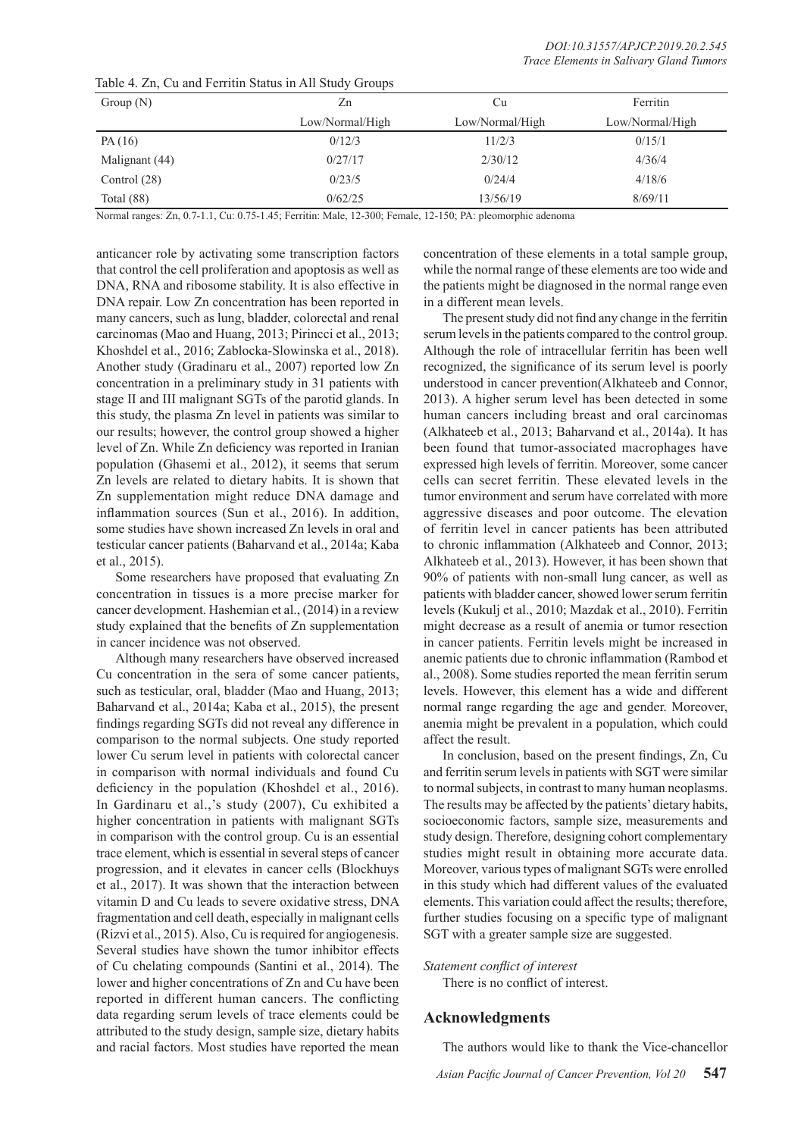| Group $(N)$    | Zn              | Cu              | Ferritin        |
|----------------|-----------------|-----------------|-----------------|
|                | Low/Normal/High | Low/Normal/High | Low/Normal/High |
| PA(16)         | 0/12/3          | 11/2/3          | 0/15/1          |
| Malignant (44) | 0/27/17         | 2/30/12         | 4/36/4          |
| Control (28)   | 0/23/5          | 0/24/4          | 4/18/6          |
| Total $(88)$   | 0/62/25         | 13/56/19        | 8/69/11         |

Table 4. Zn, Cu and Ferritin Status in All Study Groups

Normal ranges: Zn, 0.7-1.1, Cu: 0.75-1.45; Ferritin: Male, 12-300; Female, 12-150; PA: pleomorphic adenoma

anticancer role by activating some transcription factors that control the cell proliferation and apoptosis as well as DNA, RNA and ribosome stability. It is also effective in DNA repair. Low Zn concentration has been reported in many cancers, such as lung, bladder, colorectal and renal carcinomas (Mao and Huang, 2013; Pirincci et al., 2013; Khoshdel et al., 2016; Zablocka-Slowinska et al., 2018). Another study (Gradinaru et al., 2007) reported low Zn concentration in a preliminary study in 31 patients with stage II and III malignant SGTs of the parotid glands. In this study, the plasma Zn level in patients was similar to our results; however, the control group showed a higher level of Zn. While Zn deficiency was reported in Iranian population (Ghasemi et al., 2012), it seems that serum Zn levels are related to dietary habits. It is shown that Zn supplementation might reduce DNA damage and inflammation sources (Sun et al., 2016). In addition, some studies have shown increased Zn levels in oral and testicular cancer patients (Baharvand et al., 2014a; Kaba et al., 2015).

Some researchers have proposed that evaluating Zn concentration in tissues is a more precise marker for cancer development. Hashemian et al., (2014) in a review study explained that the benefits of Zn supplementation in cancer incidence was not observed.

Although many researchers have observed increased Cu concentration in the sera of some cancer patients, such as testicular, oral, bladder (Mao and Huang, 2013; Baharvand et al., 2014a; Kaba et al., 2015), the present findings regarding SGTs did not reveal any difference in comparison to the normal subjects. One study reported lower Cu serum level in patients with colorectal cancer in comparison with normal individuals and found Cu deficiency in the population (Khoshdel et al., 2016). In Gardinaru et al.,'s study (2007), Cu exhibited a higher concentration in patients with malignant SGTs in comparison with the control group. Cu is an essential trace element, which is essential in several steps of cancer progression, and it elevates in cancer cells (Blockhuys et al., 2017). It was shown that the interaction between vitamin D and Cu leads to severe oxidative stress, DNA fragmentation and cell death, especially in malignant cells (Rizvi et al., 2015). Also, Cu is required for angiogenesis. Several studies have shown the tumor inhibitor effects of Cu chelating compounds (Santini et al., 2014). The lower and higher concentrations of Zn and Cu have been reported in different human cancers. The conflicting data regarding serum levels of trace elements could be attributed to the study design, sample size, dietary habits and racial factors. Most studies have reported the mean

concentration of these elements in a total sample group, while the normal range of these elements are too wide and the patients might be diagnosed in the normal range even in a different mean levels.

The present study did not find any change in the ferritin serum levels in the patients compared to the control group. Although the role of intracellular ferritin has been well recognized, the significance of its serum level is poorly understood in cancer prevention(Alkhateeb and Connor, 2013). A higher serum level has been detected in some human cancers including breast and oral carcinomas (Alkhateeb et al., 2013; Baharvand et al., 2014a). It has been found that tumor-associated macrophages have expressed high levels of ferritin. Moreover, some cancer cells can secret ferritin. These elevated levels in the tumor environment and serum have correlated with more aggressive diseases and poor outcome. The elevation of ferritin level in cancer patients has been attributed to chronic inflammation (Alkhateeb and Connor, 2013; Alkhateeb et al., 2013). However, it has been shown that 90% of patients with non-small lung cancer, as well as patients with bladder cancer, showed lower serum ferritin levels (Kukulj et al., 2010; Mazdak et al., 2010). Ferritin might decrease as a result of anemia or tumor resection in cancer patients. Ferritin levels might be increased in anemic patients due to chronic inflammation (Rambod et al., 2008). Some studies reported the mean ferritin serum levels. However, this element has a wide and different normal range regarding the age and gender. Moreover, anemia might be prevalent in a population, which could affect the result.

In conclusion, based on the present findings, Zn, Cu and ferritin serum levels in patients with SGT were similar to normal subjects, in contrast to many human neoplasms. The results may be affected by the patients' dietary habits, socioeconomic factors, sample size, measurements and study design. Therefore, designing cohort complementary studies might result in obtaining more accurate data. Moreover, various types of malignant SGTs were enrolled in this study which had different values of the evaluated elements. This variation could affect the results; therefore, further studies focusing on a specific type of malignant SGT with a greater sample size are suggested.

#### *Statement conflict of interest*

There is no conflict of interest.

# **Acknowledgments**

The authors would like to thank the Vice-chancellor